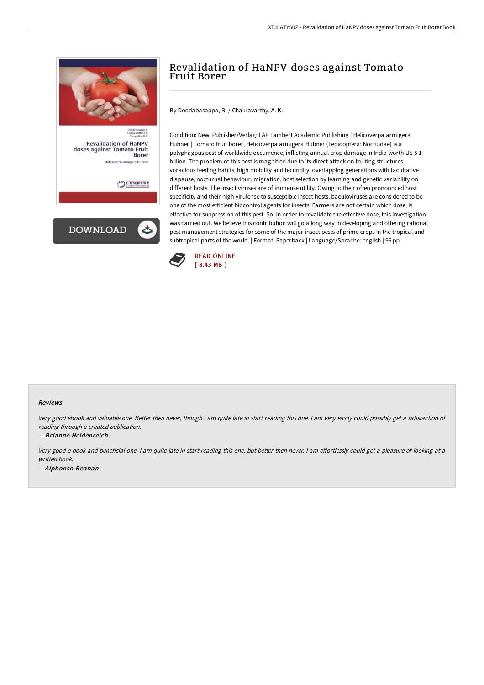

**Revalidation of HaNPV** doses against Tomato Fruit Borer

LAMBERT



# Revalidation of HaNPV doses against Tomato Fruit Borer

By Doddabasappa, B. / Chakravarthy, A. K.

Condition: New. Publisher/Verlag: LAP Lambert Academic Publishing | Helicoverpa armigera Hubner | Tomato fruit borer, Helicoverpa armigera Hubner (Lepidoptera: Noctuidae) is a polyphagous pest of worldwide occurrence, inflicting annual crop damage in India worth US \$ 1 billion. The problem of this pest is magnified due to its direct attack on fruiting structures, voracious feeding habits, high mobility and fecundity, overlapping generations with facultative diapause, nocturnal behaviour, migration, host selection by learning and genetic variability on different hosts. The insect viruses are of immense utility. Owing to their often pronounced host specificity and their high virulence to susceptible insect hosts, baculoviruses are considered to be one of the most efficient biocontrol agents for insects. Farmers are not certain which dose, is effective for suppression of this pest. So, in order to revalidate the effective dose, this investigation was carried out. We believe this contribution will go a long way in developing and offering rational pest management strategies for some of the major insect pests of prime crops in the tropical and subtropical parts of the world. | Format: Paperback | Language/Sprache: english | 96 pp.



#### Reviews

Very good eBook and valuable one. Better then never, though i am quite late in start reading this one. <sup>I</sup> am very easily could possibly get <sup>a</sup> satisfaction of reading through <sup>a</sup> created publication.

-- Brianne Heidenreich

Very good e-book and beneficial one. I am quite late in start reading this one, but better then never. I am effortlessly could get a pleasure of looking at a written book. -- Alphonso Beahan